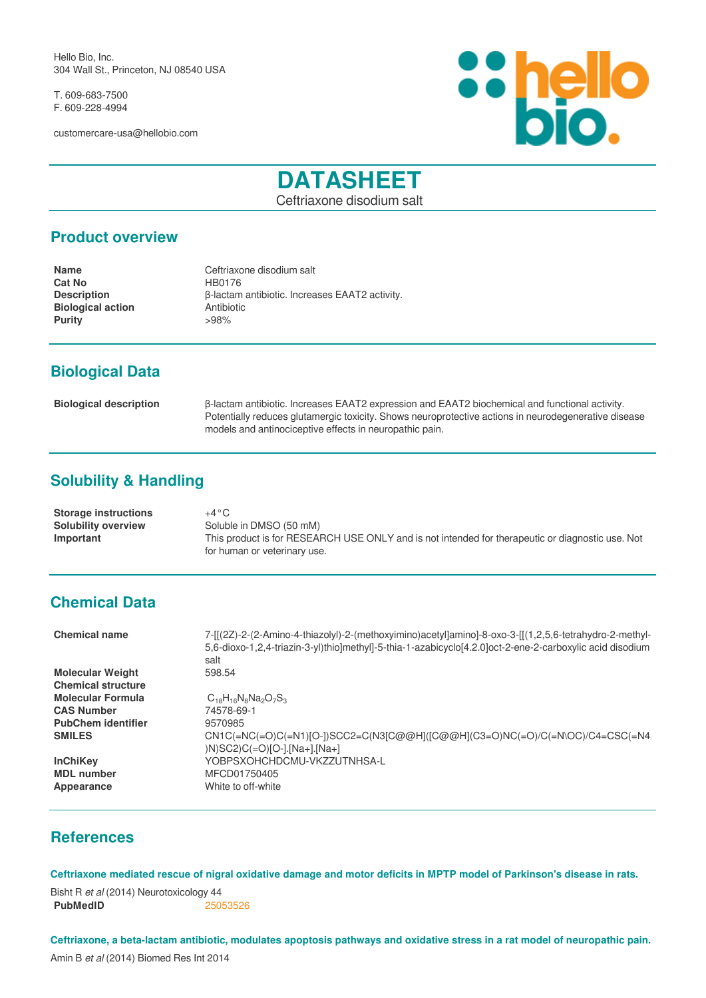Hello Bio, Inc. 304 Wall St., Princeton, NJ 08540 USA

T. 609-683-7500 F. 609-228-4994

customercare-usa@hellobio.com



# **DATASHEET**

Ceftriaxone disodium salt

#### **Product overview**

**Name** Ceftriaxone disodium salt **Cat No HB0176 Description β-lactam antibiotic. Increases EAAT2 activity.**<br> **Biological action Antibiotic Biological action**<br> **Purity**  $>98\%$ **Purity** 

# **Biological Data**

| <b>Biological description</b> | B-lactam antibiotic. Increases EAAT2 expression and EAAT2 biochemical and functional activity.       |
|-------------------------------|------------------------------------------------------------------------------------------------------|
|                               | Potentially reduces glutamergic toxicity. Shows neuroprotective actions in neurodegenerative disease |
|                               | models and antinociceptive effects in neuropathic pain.                                              |

# **Solubility & Handling**

| <b>Storage instructions</b> | +4 ° C                                                                                           |
|-----------------------------|--------------------------------------------------------------------------------------------------|
| <b>Solubility overview</b>  | Soluble in DMSO (50 mM)                                                                          |
| Important                   | This product is for RESEARCH USE ONLY and is not intended for therapeutic or diagnostic use. Not |
|                             | for human or veterinary use.                                                                     |

### **Chemical Data**

| <b>Chemical name</b>      | 7-[[(2Z)-2-(2-Amino-4-thiazolyl)-2-(methoxyimino)acetyl]amino]-8-oxo-3-[[(1,2,5,6-tetrahydro-2-methyl-<br>5.6-dioxo-1.2.4-triazin-3-yl)thio]methyl]-5-thia-1-azabicyclo[4.2.0]oct-2-ene-2-carboxylic acid disodium<br>salt |
|---------------------------|----------------------------------------------------------------------------------------------------------------------------------------------------------------------------------------------------------------------------|
| <b>Molecular Weight</b>   | 598.54                                                                                                                                                                                                                     |
| <b>Chemical structure</b> |                                                                                                                                                                                                                            |
| <b>Molecular Formula</b>  | $C_{18}H_{16}N_8Na_2O_7S_3$                                                                                                                                                                                                |
| <b>CAS Number</b>         | 74578-69-1                                                                                                                                                                                                                 |
| <b>PubChem identifier</b> | 9570985                                                                                                                                                                                                                    |
| <b>SMILES</b>             | CN1C(=NC(=O)C(=N1)[O-])SCC2=C(N3[C@@H]([C@@H](C3=O)NC(=O)/C(=N\OC)/C4=CSC(=N4<br>$(N)SC2$ ) $C (=O)$ $[O-]$ .[Na+].[Na+]                                                                                                   |
| <b>InChiKey</b>           | YOBPSXOHCHDCMU-VKZZUTNHSA-L                                                                                                                                                                                                |
| <b>MDL</b> number         | MFCD01750405                                                                                                                                                                                                               |
| Appearance                | White to off-white                                                                                                                                                                                                         |

### **References**

**Ceftriaxone mediated rescue of nigral oxidative damage and motor deficits in MPTP model of Parkinson's disease in rats.**

Bisht R *et al* (2014) Neurotoxicology 44 **PubMedID** [25053526](http://www.ncbi.nlm.nih.gov/pubmed/25053526)

**Ceftriaxone, a beta-lactam antibiotic, modulates apoptosis pathways and oxidative stress in a rat model of neuropathic pain.**